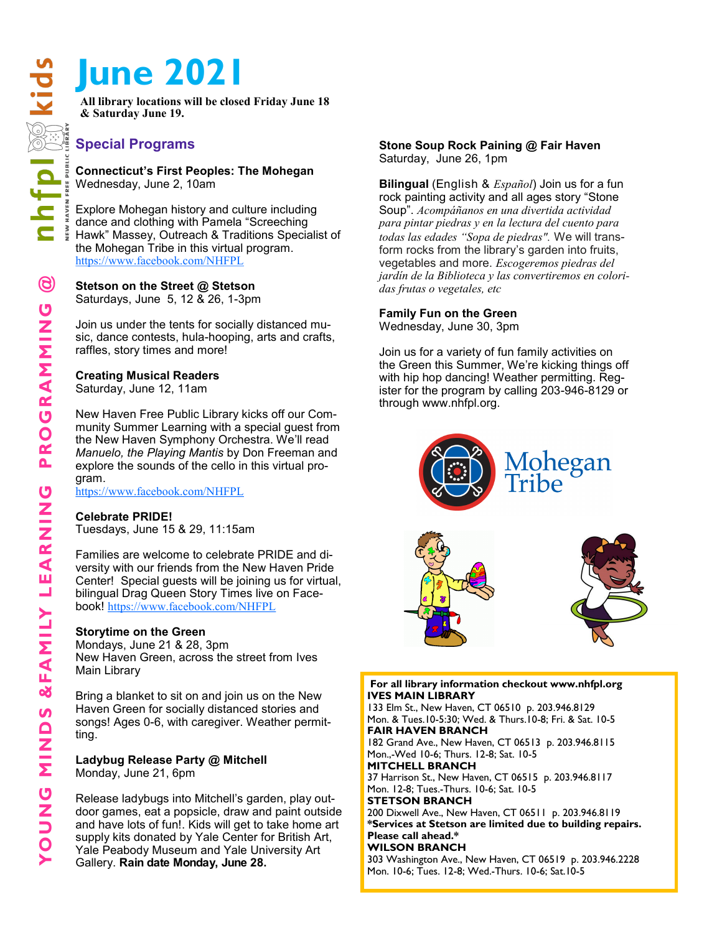# **June 2021**

**All library locations will be closed Friday June 18 & Saturday June 19.**

# **Special Programs**

**Connecticut's First Peoples: The Mohegan** Wednesday, June 2, 10am

Explore Mohegan history and culture including dance and clothing with Pamela "Screeching Hawk" Massey, Outreach & Traditions Specialist of the Mohegan Tribe in this virtual program. <https://www.facebook.com/NHFPL>

**Stetson on the Street @ Stetson** Saturdays, June 5, 12 & 26, 1-3pm

Join us under the tents for socially distanced music, dance contests, hula-hooping, arts and crafts, raffles, story times and more!

# **Creating Musical Readers**

Saturday, June 12, 11am

New Haven Free Public Library kicks off our Community Summer Learning with a special guest from the New Haven Symphony Orchestra. We'll read *Manuelo, the Playing Mantis* by Don Freeman and explore the sounds of the cello in this virtual program.

<https://www.facebook.com/NHFPL>

## **Celebrate PRIDE!**

Tuesdays, June 15 & 29, 11:15am

Families are welcome to celebrate PRIDE and diversity with our friends from the New Haven Pride Center! Special guests will be joining us for virtual, bilingual Drag Queen Story Times live on Facebook! <https://www.facebook.com/NHFPL>

## **Storytime on the Green**

Mondays, June 21 & 28, 3pm New Haven Green, across the street from Ives Main Library

Bring a blanket to sit on and join us on the New Haven Green for socially distanced stories and songs! Ages 0-6, with caregiver. Weather permitting.

**Ladybug Release Party @ Mitchell** Monday, June 21, 6pm

Release ladybugs into Mitchell's garden, play outdoor games, eat a popsicle, draw and paint outside and have lots of fun!. Kids will get to take home art supply kits donated by Yale Center for British Art, Yale Peabody Museum and Yale University Art Gallery. **Rain date Monday, June 28.**

#### **Stone Soup Rock Paining @ Fair Haven** Saturday, June 26, 1pm

**Bilingual** (English & *Español*) Join us for a fun rock painting activity and all ages story "Stone Soup". *Acompáñanos en una divertida actividad para pintar piedras y en la lectura del cuento para todas las edades "Sopa de piedras".* We will transform rocks from the library's garden into fruits, vegetables and more. *Escogeremos piedras del jardín de la Biblioteca y las convertiremos en coloridas frutas o vegetales, etc*

# **Family Fun on the Green**

Wednesday, June 30, 3pm

Join us for a variety of fun family activities on the Green this Summer, We're kicking things off with hip hop dancing! Weather permitting. Register for the program by calling 203-946-8129 or through www.nhfpl.org.





#### **For all library information checkout www.nhfpl.org IVES MAIN LIBRARY**

133 Elm St., New Haven, CT 06510 p. 203.946.8129 Mon. & Tues.10-5:30; Wed. & Thurs.10-8; Fri. & Sat. 10-5 **FAIR HAVEN BRANCH** 182 Grand Ave., New Haven, CT 06513 p. 203.946.8115 Mon.,-Wed 10-6; Thurs. 12-8; Sat. 10-5 **MITCHELL BRANCH** 37 Harrison St., New Haven, CT 06515 p. 203.946.8117 Mon. 12-8; Tues.-Thurs. 10-6; Sat. 10-5 **STETSON BRANCH** 200 Dixwell Ave., New Haven, CT 06511 p. 203.946.8119 **\*Services at Stetson are limited due to building repairs. Please call ahead.\* WILSON BRANCH** 303 Washington Ave., New Haven, CT 06519 p. 203.946.2228 Mon. 10-6; Tues. 12-8; Wed.-Thurs. 10-6; Sat.10-5